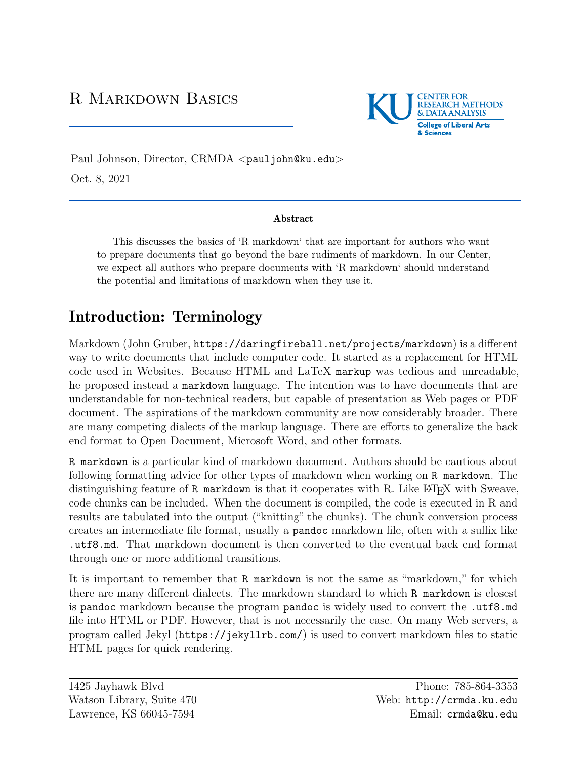## R Markdown Basics



Paul Johnson, Director, CRMDA <[pauljohn@ku.edu](mailto:pauljohn@ku.edu)> Oct. 8, 2021

#### Abstract

This discusses the basics of 'R markdown' that are important for authors who want to prepare documents that go beyond the bare rudiments of markdown. In our Center, we expect all authors who prepare documents with 'R markdown' should understand the potential and limitations of markdown when they use it.

# Introduction: Terminology

Markdown (John Gruber, <https://daringfireball.net/projects/markdown>) is a different way to write documents that include computer code. It started as a replacement for HTML code used in Websites. Because HTML and LaTeX markup was tedious and unreadable, he proposed instead a markdown language. The intention was to have documents that are understandable for non-technical readers, but capable of presentation as Web pages or PDF document. The aspirations of the markdown community are now considerably broader. There are many competing dialects of the markup language. There are efforts to generalize the back end format to Open Document, Microsoft Word, and other formats.

R markdown is a particular kind of markdown document. Authors should be cautious about following formatting advice for other types of markdown when working on R markdown. The distinguishing feature of  $R$  markdown is that it cooperates with  $R$ . Like  $\mathbb{F} F[X]$  with Sweave, code chunks can be included. When the document is compiled, the code is executed in R and results are tabulated into the output ("knitting" the chunks). The chunk conversion process creates an intermediate file format, usually a pandoc markdown file, often with a suffix like .utf8.md. That markdown document is then converted to the eventual back end format through one or more additional transitions.

It is important to remember that R markdown is not the same as "markdown," for which there are many different dialects. The markdown standard to which R markdown is closest is pandoc markdown because the program pandoc is widely used to convert the .utf8.md file into HTML or PDF. However, that is not necessarily the case. On many Web servers, a program called Jekyl (<https://jekyllrb.com/>) is used to convert markdown files to static HTML pages for quick rendering.

1425 Jayhawk Blvd Watson Library, Suite 470 Lawrence, KS 66045-7594

Phone: 785-864-3353 Web: <http://crmda.ku.edu> Email: [crmda@ku.edu](mailto:crmda@ku.edu)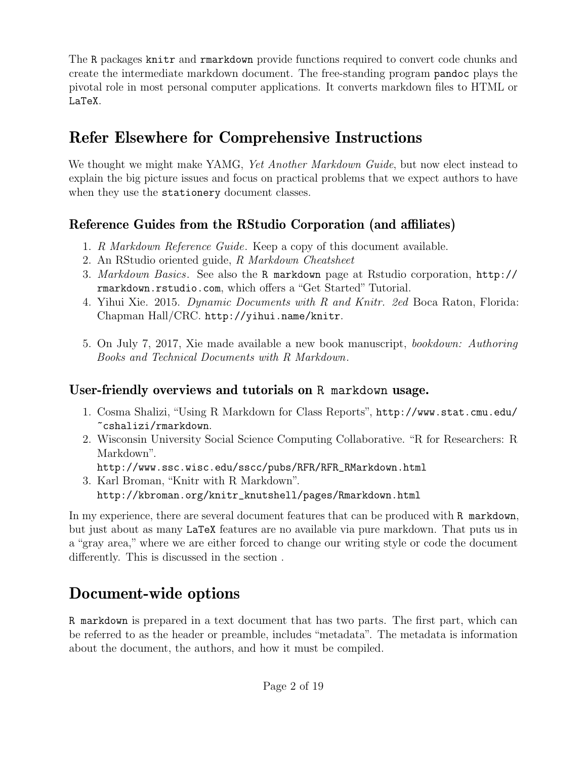The R packages knitr and rmarkdown provide functions required to convert code chunks and create the intermediate markdown document. The free-standing program pandoc plays the pivotal role in most personal computer applications. It converts markdown files to HTML or LaTeX.

# Refer Elsewhere for Comprehensive Instructions

We thought we might make YAMG, *Yet Another Markdown Guide*, but now elect instead to explain the big picture issues and focus on practical problems that we expect authors to have when they use the stationery document classes.

### Reference Guides from the RStudio Corporation (and affiliates)

- 1. *[R Markdown Reference Guide](https://www.rstudio.com/wp-content/uploads/2015/03/rmarkdown-reference.pdf)*. Keep a copy of this document available.
- 2. An RStudio oriented guide, *[R Markdown Cheatsheet](https://www.rstudio.com/wp-content/uploads/2016/03/rmarkdown-cheatsheet-2.0.pdf)*
- 3. *[Markdown Basics](http://rmarkdown.rstudio.com/authoring_basics.html)*. See also the R markdown page at Rstudio corporation, [http://](http://rmarkdown.rstudio.com) [rmarkdown.rstudio.com](http://rmarkdown.rstudio.com), which offers a ["Get Started" Tutorial.](http://rmarkdown.rstudio.com/lesson-1.html)
- 4. Yihui Xie. 2015. *Dynamic Documents with R and Knitr. 2ed* Boca Raton, Florida: Chapman Hall/CRC. <http://yihui.name/knitr>.
- 5. On July 7, 2017, Xie made available a new book manuscript, *[bookdown: Authoring](https://bookdown.org/yihui/bookdown) [Books and Technical Documents with R Markdown](https://bookdown.org/yihui/bookdown)*.

## User-friendly overviews and tutorials on R markdown usage.

- 1. Cosma Shalizi, "Using R Markdown for Class Reports", [http://www.stat.cmu.edu/](http://www.stat.cmu.edu/~cshalizi/rmarkdown) [~cshalizi/rmarkdown](http://www.stat.cmu.edu/~cshalizi/rmarkdown).
- 2. Wisconsin University Social Science Computing Collaborative. "R for Researchers: R Markdown".
	- [http://www.ssc.wisc.edu/sscc/pubs/RFR/RFR\\_RMarkdown.html](http://www.ssc.wisc.edu/sscc/pubs/RFR/RFR_RMarkdown.html)
- 3. Karl Broman, "Knitr with R Markdown". [http://kbroman.org/knitr\\_knutshell/pages/Rmarkdown.html](http://kbroman.org/knitr_knutshell/pages/Rmarkdown.html)

In my experience, there are several document features that can be produced with R markdown, but just about as many LaTeX features are no available via pure markdown. That puts us in a "gray area," where we are either forced to change our writing style or code the document differently. This is discussed in the section .

# Document-wide options

R markdown is prepared in a text document that has two parts. The first part, which can be referred to as the header or preamble, includes "metadata". The metadata is information about the document, the authors, and how it must be compiled.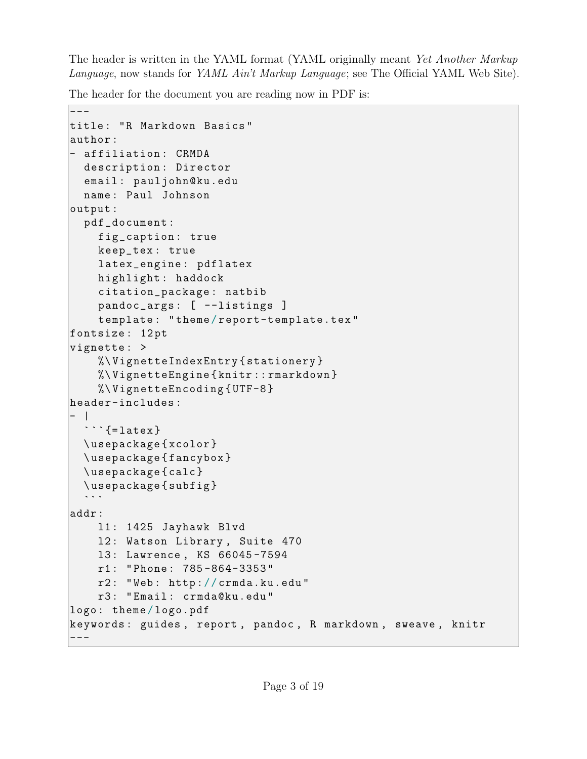The header is written in the YAML format (YAML originally meant *Yet Another Markup Language*, now stands for *YAML Ain't Markup Language*; see [The Official YAML Web Site\)](http://yaml.org).

The header for the document you are reading now in PDF is:

```
\overline{\phantom{a}} - - -
title: "R Markdown Basics"
author :
- affiliation : CRMDA
  description : Director
  email : pauljohn@ku.edu
  name : Paul Johnson
output :
  pdf_document :
    fig_caption : true
    keep_tex : true
    latex_engine : pdflatex
    highlight : haddock
    citation_package : natbib
    pandoc_args : [ --listings ]
    template : " theme / report-template.tex "
fontsize : 12 pt
vignette : >
    %\ VignetteIndexEntry { stationery }
    %\ VignetteEngine { knitr :: rmarkdown }
    %\ VignetteEncoding { UTF-8 }
header-includes :
- |
  \mathbf{I}\cdots {= latex }
  \ usepackage { xcolor }
  \ usepackage { fancybox }
  \ usepackage { calc }
  \usepackage{subfig}
addr :
    l1 : 1425 Jayhawk Blvd
    12: Watson Library, Suite 470
    l3 : Lawrence , KS 66045 -7594
    r1 : " Phone : 785 -864-3353 "
    r2 : " Web : http :/ / crmda.ku.edu "
    r3 : " Email : crmda@ku.edu "
logo : theme / logo.pdf
keywords : guides , report , pandoc , R markdown , sweave , knitr
---
```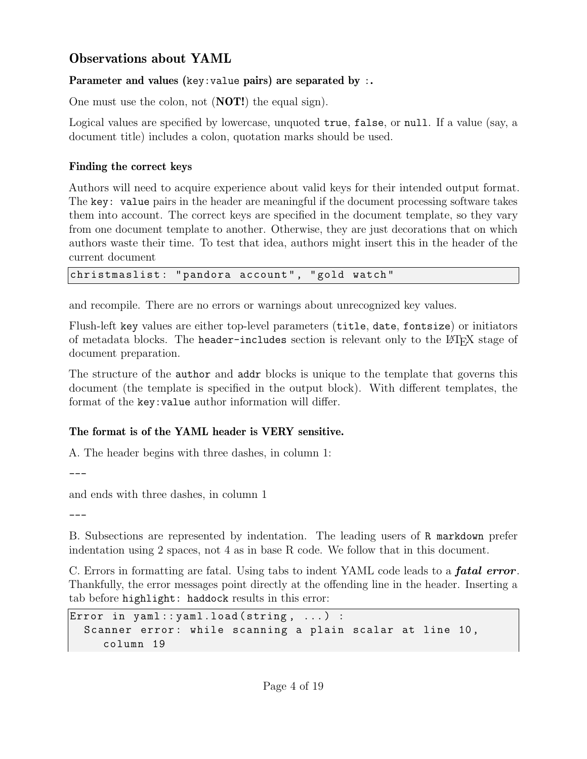### Observations about YAML

#### Parameter and values (key: value pairs) are separated by :.

One must use the colon, not (NOT!) the equal sign).

Logical values are specified by lowercase, unquoted true, false, or null. If a value (say, a document title) includes a colon, quotation marks should be used.

#### Finding the correct keys

Authors will need to acquire experience about valid keys for their intended output format. The key: value pairs in the header are meaningful if the document processing software takes them into account. The correct keys are specified in the document template, so they vary from one document template to another. Otherwise, they are just decorations that on which authors waste their time. To test that idea, authors might insert this in the header of the current document

christmaslist: "pandora account", "gold watch"

and recompile. There are no errors or warnings about unrecognized key values.

Flush-left key values are either top-level parameters (title, date, fontsize) or initiators of metadata blocks. The header-includes section is relevant only to the L<sup>A</sup>TEX stage of document preparation.

The structure of the author and addr blocks is unique to the template that governs this document (the template is specified in the output block). With different templates, the format of the key:value author information will differ.

#### The format is of the YAML header is VERY sensitive.

A. The header begins with three dashes, in column 1:

---

and ends with three dashes, in column 1

---

B. Subsections are represented by indentation. The leading users of R markdown prefer indentation using 2 spaces, not 4 as in base R code. We follow that in this document.

C. Errors in formatting are fatal. Using tabs to indent YAML code leads to a **fatal error**. Thankfully, the error messages point directly at the offending line in the header. Inserting a tab before highlight: haddock results in this error:

```
Error in yaml:: yaml.load (string, ...) :
  Scanner error: while scanning a plain scalar at line 10,
     column 19
```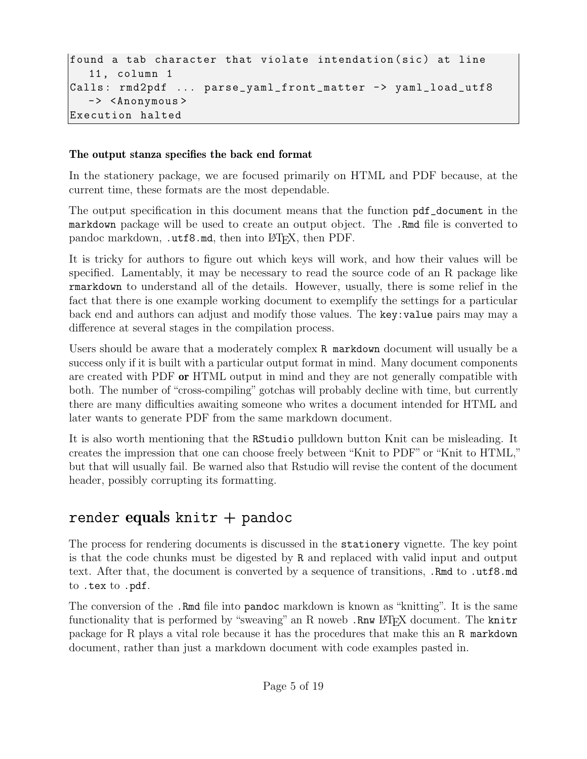```
found a tab character that violate intendation (sic) at line
  11 , column 1
Calls: rmd2pdf ... parse_yaml_front_matter -> yaml_load_utf8
  -> <Anonymous>
Execution halted
```
#### The output stanza specifies the back end format

In the stationery package, we are focused primarily on HTML and PDF because, at the current time, these formats are the most dependable.

The output specification in this document means that the function pdf\_document in the markdown package will be used to create an output object. The .Rmd file is converted to pandoc markdown, .utf8.md, then into L<sup>AT</sup>FX, then PDF.

It is tricky for authors to figure out which keys will work, and how their values will be specified. Lamentably, it may be necessary to read the source code of an R package like rmarkdown to understand all of the details. However, usually, there is some relief in the fact that there is one example working document to exemplify the settings for a particular back end and authors can adjust and modify those values. The key:value pairs may may a difference at several stages in the compilation process.

Users should be aware that a moderately complex R markdown document will usually be a success only if it is built with a particular output format in mind. Many document components are created with PDF or HTML output in mind and they are not generally compatible with both. The number of "cross-compiling" gotchas will probably decline with time, but currently there are many difficulties awaiting someone who writes a document intended for HTML and later wants to generate PDF from the same markdown document.

It is also worth mentioning that the RStudio pulldown button Knit can be misleading. It creates the impression that one can choose freely between "Knit to PDF" or "Knit to HTML," but that will usually fail. Be warned also that Rstudio will revise the content of the document header, possibly corrupting its formatting.

## render equals knitr  $+$  pandoc

The process for rendering documents is discussed in the stationery vignette. The key point is that the code chunks must be digested by R and replaced with valid input and output text. After that, the document is converted by a sequence of transitions, .Rmd to .utf8.md to .tex to .pdf.

The conversion of the .Rmd file into pandoc markdown is known as "knitting". It is the same functionality that is performed by "sweaving" an R noweb .Rnw LATEX document. The knitr package for R plays a vital role because it has the procedures that make this an R markdown document, rather than just a markdown document with code examples pasted in.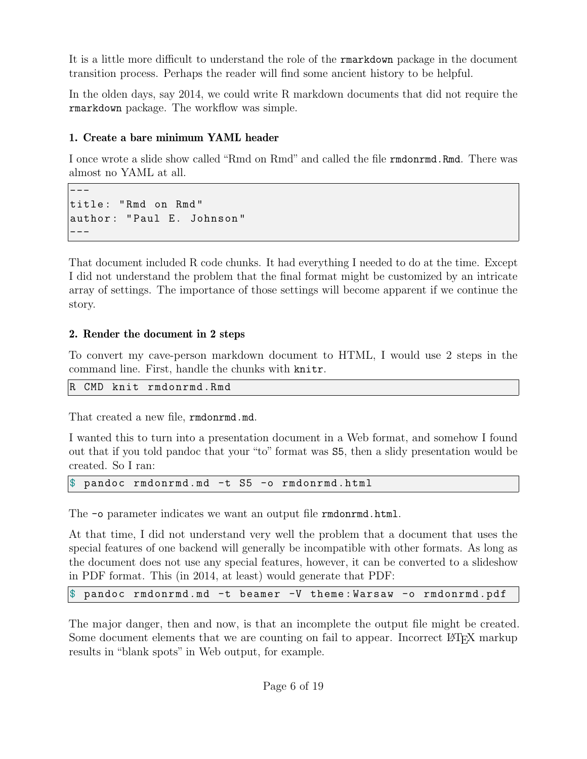It is a little more difficult to understand the role of the rmarkdown package in the document transition process. Perhaps the reader will find some ancient history to be helpful.

In the olden days, say 2014, we could write R markdown documents that did not require the rmarkdown package. The workflow was simple.

#### 1. Create a bare minimum YAML header

I once wrote a slide show called "Rmd on Rmd" and called the file rmdonrmd.Rmd. There was almost no YAML at all.

-- title : " Rmd on Rmd " author : " Paul E. Johnson " ---

That document included R code chunks. It had everything I needed to do at the time. Except I did not understand the problem that the final format might be customized by an intricate array of settings. The importance of those settings will become apparent if we continue the story.

#### 2. Render the document in 2 steps

To convert my cave-person markdown document to HTML, I would use 2 steps in the command line. First, handle the chunks with knitr.

```
R CMD knit rmdonrmd.Rmd
```
That created a new file, **rmdonrmd.md**.

I wanted this to turn into a presentation document in a Web format, and somehow I found out that if you told pandoc that your "to" format was S5, then a slidy presentation would be created. So I ran:

pandoc rmdonrmd.md -t S5 -o rmdonrmd.html

The  $\sim$  parameter indicates we want an output file rmdon rmd.html.

At that time, I did not understand very well the problem that a document that uses the special features of one backend will generally be incompatible with other formats. As long as the document does not use any special features, however, it can be converted to a slideshow in PDF format. This (in 2014, at least) would generate that PDF:

\$ pandoc rmdonrmd.md -t beamer -V theme : Warsaw -o rmdonrmd.pdf

The major danger, then and now, is that an incomplete the output file might be created. Some document elements that we are counting on fail to appear. Incorrect LATEX markup results in "blank spots" in Web output, for example.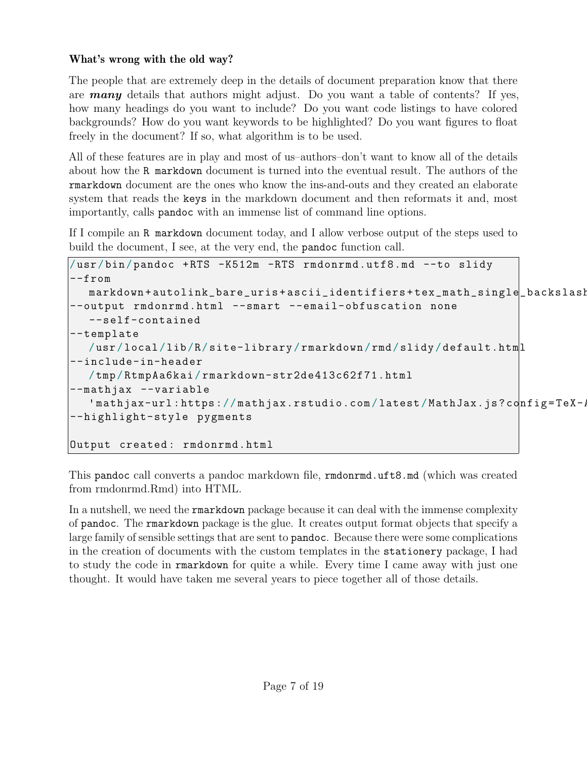#### What's wrong with the old way?

The people that are extremely deep in the details of document preparation know that there are many details that authors might adjust. Do you want a table of contents? If yes, how many headings do you want to include? Do you want code listings to have colored backgrounds? How do you want keywords to be highlighted? Do you want figures to float freely in the document? If so, what algorithm is to be used.

All of these features are in play and most of us–authors–don't want to know all of the details about how the R markdown document is turned into the eventual result. The authors of the rmarkdown document are the ones who know the ins-and-outs and they created an elaborate system that reads the keys in the markdown document and then reformats it and, most importantly, calls pandoc with an immense list of command line options.

If I compile an R markdown document today, and I allow verbose output of the steps used to build the document, I see, at the very end, the pandoc function call.

```
/ usr / bin / pandoc + RTS -K512m -RTS rmdonrmd.utf8.md --to slidy
--from
  markdown + autolink_bare_uris + ascii_identifiers + tex_math_single_backslash
--output rmdonrmd.html --smart --email-obfuscation none
  --self-contained
--template
  / usr / local / lib /R/ site-library / rmarkdown / rmd / slidy / default.html
--include-in-header
  / tmp / RtmpAa6kai / rmarkdown-str2de413c62f71.html
--mathjax --variable
   'mathjax-url:https://mathjax.rstudio.com/latest/MathJax.js?config=TeX-,
--highlight-style pygments
Output created : rmdonrmd.html
```
This pandoc call converts a pandoc markdown file, rmdonrmd.uft8.md (which was created from rmdonrmd.Rmd) into HTML.

In a nutshell, we need the **rmarkdown** package because it can deal with the immense complexity of pandoc. The rmarkdown package is the glue. It creates output format objects that specify a large family of sensible settings that are sent to pandoc. Because there were some complications in the creation of documents with the custom templates in the stationery package, I had to study the code in rmarkdown for quite a while. Every time I came away with just one thought. It would have taken me several years to piece together all of those details.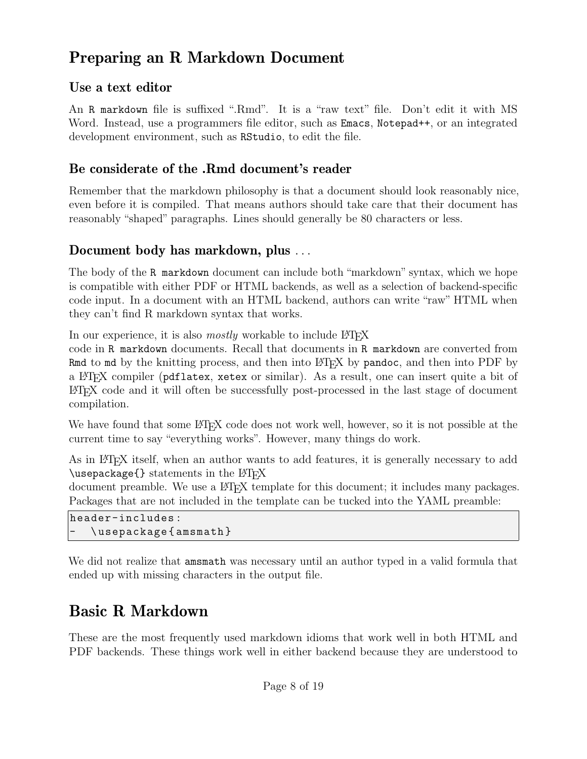# Preparing an R Markdown Document

### Use a text editor

An R markdown file is suffixed ".Rmd". It is a "raw text" file. Don't edit it with MS Word. Instead, use a programmers file editor, such as Emacs, Notepad++, or an integrated development environment, such as RStudio, to edit the file.

### Be considerate of the .Rmd document's reader

Remember that the markdown philosophy is that a document should look reasonably nice, even before it is compiled. That means authors should take care that their document has reasonably "shaped" paragraphs. Lines should generally be 80 characters or less.

### Document body has markdown, plus *. . .*

The body of the R markdown document can include both "markdown" syntax, which we hope is compatible with either PDF or HTML backends, as well as a selection of backend-specific code input. In a document with an HTML backend, authors can write "raw" HTML when they can't find R markdown syntax that works.

In our experience, it is also *mostly* workable to include  $\angle$ FIFX

code in R markdown documents. Recall that documents in R markdown are converted from Rmd to md by the knitting process, and then into  $\Delta F$ F(X by pandoc, and then into PDF by a LATEX compiler (pdflatex, xetex or similar). As a result, one can insert quite a bit of L<sup>A</sup>TEX code and it will often be successfully post-processed in the last stage of document compilation.

We have found that some LATEX code does not work well, however, so it is not possible at the current time to say "everything works". However, many things do work.

As in LATEX itself, when an author wants to add features, it is generally necessary to add  $\{\text{usepackage}\}$  statements in the  $\langle \text{BFRX}\rangle$ 

document preamble. We use a LATEX template for this document; it includes many packages. Packages that are not included in the template can be tucked into the YAML preamble:

```
header-includes :
   \usepackage { amsmath }
```
We did not realize that amsmath was necessary until an author typed in a valid formula that ended up with missing characters in the output file.

# Basic R Markdown

These are the most frequently used markdown idioms that work well in both HTML and PDF backends. These things work well in either backend because they are understood to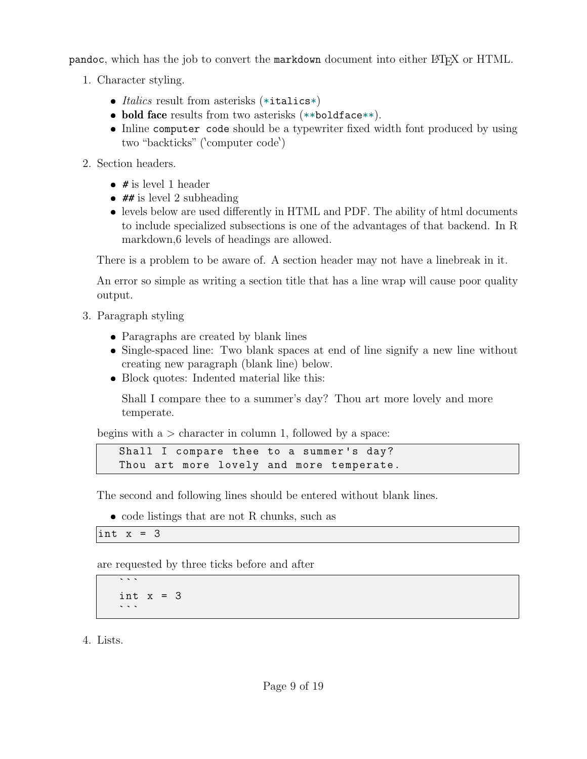pandoc, which has the job to convert the markdown document into either LATEX or HTML.

- 1. Character styling.
	- ❼ *Italics* result from asterisks (\*italics\*)
	- bold face results from two asterisks (\*\*boldface\*\*).
	- Inline computer code should be a typewriter fixed width font produced by using two "backticks" ('computer code')
- 2. Section headers.
	- $\bullet\;\;\#$  is level 1 header
	- $\bullet$  ## is level 2 subheading
	- levels below are used differently in HTML and PDF. The ability of html documents to include specialized subsections is one of the advantages of that backend. In R markdown,6 levels of headings are allowed.

There is a problem to be aware of. A section header may not have a linebreak in it.

An error so simple as writing a section title that has a line wrap will cause poor quality output.

- 3. Paragraph styling
	- ❼ Paragraphs are created by blank lines
	- Single-spaced line: Two blank spaces at end of line signify a new line without creating new paragraph (blank line) below.
	- Block quotes: Indented material like this:

Shall I compare thee to a summer's day? Thou art more lovely and more temperate.

begins with a *>* character in column 1, followed by a space:

```
Shall I compare thee to a summer's day?
Thou art more lovely and more temperate.
```
The second and following lines should be entered without blank lines.

❼ code listings that are not R chunks, such as

int  $x = 3$ 

 $\overline{\cdots}$ 

are requested by three ticks before and after

int  $x = 3$  $\sim$   $\sim$   $\sim$ 

4. Lists.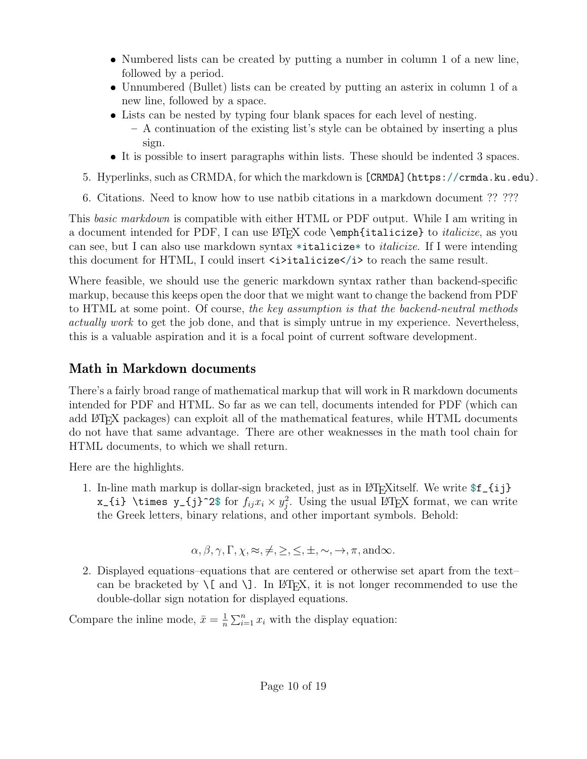- ❼ Numbered lists can be created by putting a number in column 1 of a new line, followed by a period.
- ❼ Unnumbered (Bullet) lists can be created by putting an asterix in column 1 of a new line, followed by a space.
- Lists can be nested by typing four blank spaces for each level of nesting.
	- A continuation of the existing list's style can be obtained by inserting a plus sign.
- It is possible to insert paragraphs within lists. These should be indented 3 spaces.
- 5. Hyperlinks, such as [CRMDA,](https://crmda.ku.edu) for which the markdown is [CRMDA](https://crmda.ku.edu).
- 6. Citations. Need to know how to use natbib citations in a markdown document ?? ???

This *basic markdown* is compatible with either HTML or PDF output. While I am writing in a document intended for PDF, I can use LAT<sub>F</sub>X code \emph{italicize} to *italicize*, as you can see, but I can also use markdown syntax \*italicize\* to *italicize*. If I were intending this document for HTML, I could insert  $\exists$  italicize $\langle i \rangle$  to reach the same result.

Where feasible, we should use the generic markdown syntax rather than backend-specific markup, because this keeps open the door that we might want to change the backend from PDF to HTML at some point. Of course, *the key assumption is that the backend-neutral methods actually work* to get the job done, and that is simply untrue in my experience. Nevertheless, this is a valuable aspiration and it is a focal point of current software development.

## Math in Markdown documents

There's a fairly broad range of mathematical markup that will work in R markdown documents intended for PDF and HTML. So far as we can tell, documents intended for PDF (which can add L<sup>AT</sup>EX packages) can exploit all of the mathematical features, while HTML documents do not have that same advantage. There are other weaknesses in the math tool chain for HTML documents, to which we shall return.

Here are the highlights.

1. In-line math markup is dollar-sign bracketed, just as in LAT<sub>EX</sub>itself. We write  $f_{i,j}$ x\_{i} \times y\_{j}^2\$ for  $f_{ij}x_i \times y_i^2$ <sup>2</sup>/<sub>j</sub>. Using the usual L<sup>AT</sup>EX format, we can write the Greek letters, binary relations, and other important symbols. Behold:

$$
\alpha, \beta, \gamma, \Gamma, \chi, \approx, \neq, \geq, \leq, \pm, \sim, \rightarrow, \pi, \text{and} \infty.
$$

2. Displayed equations–equations that are centered or otherwise set apart from the text– can be bracketed by  $\setminus$ [ and  $\setminus$ ]. In LAT<sub>EX</sub>, it is not longer recommended to use the double-dollar sign notation for displayed equations.

Compare the inline mode,  $\bar{x} = \frac{1}{n}$  $\frac{1}{n} \sum_{i=1}^{n} x_i$  with the display equation: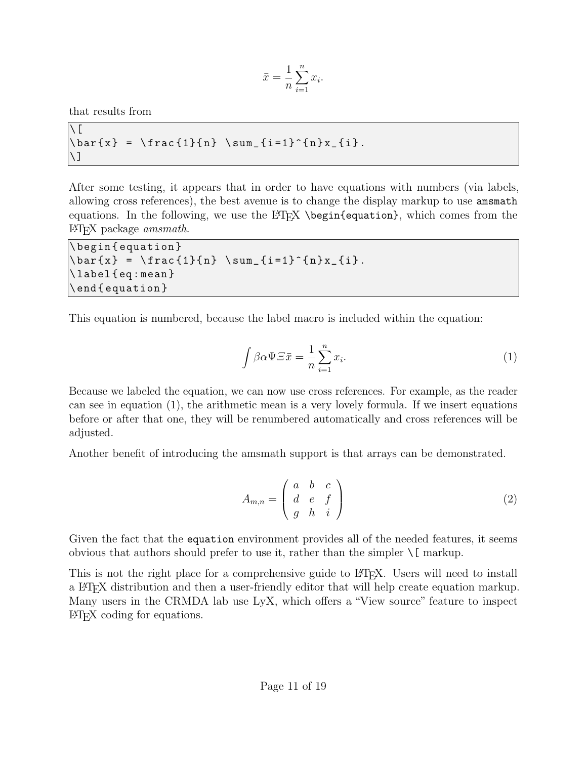$$
\bar{x} = \frac{1}{n} \sum_{i=1}^{n} x_i.
$$

that results from

 $\setminus$  [  $\bar{x} = \frac{1}{n} \sum_{i=1}^{n} x_{i}.$  $\setminus$ ]

After some testing, it appears that in order to have equations with numbers (via labels, allowing cross references), the best avenue is to change the display markup to use amsmath equations. In the following, we use the LATEX  $\begin{min}$  (begin{equation}, which comes from the L<sup>A</sup>TEX package *amsmath*.

```
\ begin { equation }
\bar{x} = \frac{1}{n} \sum_{i=1}^{n} x_{i}.\ label { eq : mean }
\ end { equation }
```
This equation is numbered, because the label macro is included within the equation:

<span id="page-10-0"></span>
$$
\int \beta \alpha \Psi \Xi \bar{x} = \frac{1}{n} \sum_{i=1}^{n} x_i.
$$
\n(1)

Because we labeled the equation, we can now use cross references. For example, as the reader can see in equation [\(1\)](#page-10-0), the arithmetic mean is a very lovely formula. If we insert equations before or after that one, they will be renumbered automatically and cross references will be adjusted.

Another benefit of introducing the amsmath support is that arrays can be demonstrated.

$$
A_{m,n} = \begin{pmatrix} a & b & c \\ d & e & f \\ g & h & i \end{pmatrix}
$$
 (2)

Given the fact that the equation environment provides all of the needed features, it seems obvious that authors should prefer to use it, rather than the simpler  $\setminus$ [ markup.

This is not the right place for a comprehensive guide to FT<sub>F</sub>X. Users will need to install a L<sup>A</sup>TEX distribution and then a user-friendly editor that will help create equation markup. Many users in the CRMDA lab use LyX, which offers a "View source" feature to inspect L<sup>A</sup>TEX coding for equations.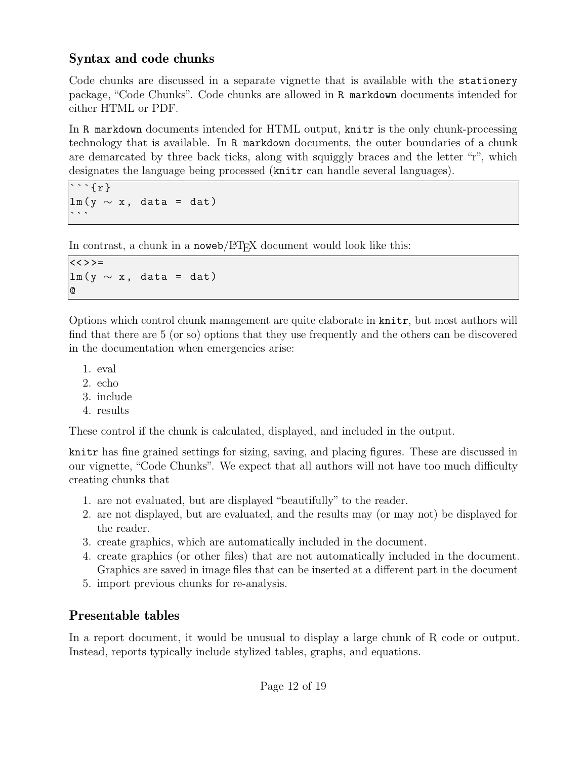### Syntax and code chunks

Code chunks are discussed in a separate vignette that is available with the stationery package, "Code Chunks". Code chunks are allowed in R markdown documents intended for either HTML or PDF.

In R markdown documents intended for HTML output, knitr is the only chunk-processing technology that is available. In R markdown documents, the outer boundaries of a chunk are demarcated by three back ticks, along with squiggly braces and the letter "r", which designates the language being processed  $(\text{knitr can handle several languages}).$ 

 $\overline{\cdots}$   $\overline{\{r\}}$  $lm(y \sim x, data = dat)$ 

In contrast, a chunk in a noweb/L<sup>AT</sup>FX document would look like this:

 $<<$  > > =  $lm(y \sim x, data = dat)$ @

Options which control chunk management are quite elaborate in knitr, but most authors will find that there are 5 (or so) options that they use frequently and the others can be discovered in the documentation when emergencies arise:

- 1. eval
- 2. echo
- 3. include
- 4. results

These control if the chunk is calculated, displayed, and included in the output.

knitr has fine grained settings for sizing, saving, and placing figures. These are discussed in our vignette, "Code Chunks". We expect that all authors will not have too much difficulty creating chunks that

- 1. are not evaluated, but are displayed "beautifully" to the reader.
- 2. are not displayed, but are evaluated, and the results may (or may not) be displayed for the reader.
- 3. create graphics, which are automatically included in the document.
- 4. create graphics (or other files) that are not automatically included in the document. Graphics are saved in image files that can be inserted at a different part in the document
- 5. import previous chunks for re-analysis.

## Presentable tables

In a report document, it would be unusual to display a large chunk of R code or output. Instead, reports typically include stylized tables, graphs, and equations.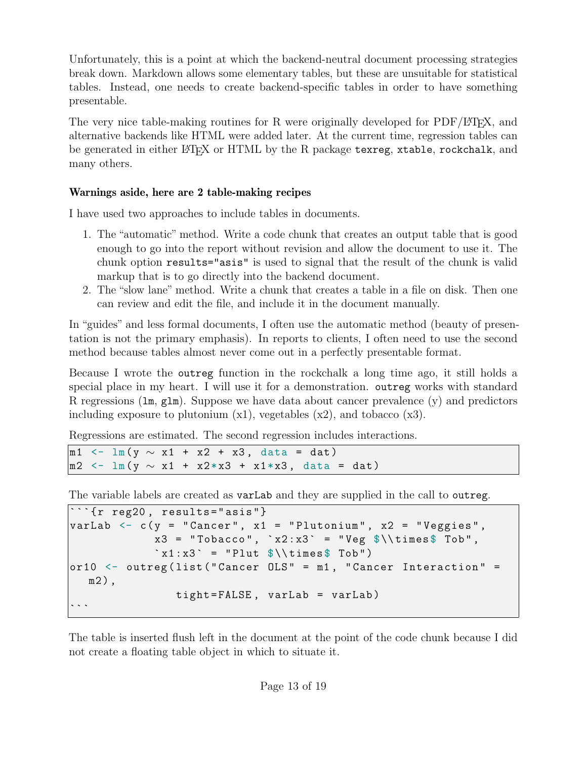Unfortunately, this is a point at which the backend-neutral document processing strategies break down. Markdown allows some elementary tables, but these are unsuitable for statistical tables. Instead, one needs to create backend-specific tables in order to have something presentable.

The very nice table-making routines for R were originally developed for  $PDF/ETFX$ , and alternative backends like HTML were added later. At the current time, regression tables can be generated in either L<sup>AT</sup>EX or HTML by the R package texreg, xtable, rockchalk, and many others.

#### Warnings aside, here are 2 table-making recipes

I have used two approaches to include tables in documents.

- 1. The "automatic" method. Write a code chunk that creates an output table that is good enough to go into the report without revision and allow the document to use it. The chunk option results="asis" is used to signal that the result of the chunk is valid markup that is to go directly into the backend document.
- 2. The "slow lane" method. Write a chunk that creates a table in a file on disk. Then one can review and edit the file, and include it in the document manually.

In "guides" and less formal documents, I often use the automatic method (beauty of presentation is not the primary emphasis). In reports to clients, I often need to use the second method because tables almost never come out in a perfectly presentable format.

Because I wrote the outreg function in the rockchalk a long time ago, it still holds a special place in my heart. I will use it for a demonstration. outreg works with standard R regressions  $(\text{lm}, \text{glm})$ . Suppose we have data about cancer prevalence  $(y)$  and predictors including exposure to plutonium  $(x1)$ , vegetables  $(x2)$ , and tobacco  $(x3)$ .

Regressions are estimated. The second regression includes interactions.

```
m1 <- lm(y \sim x1 + x2 + x3, data = dat)
m2 <- lm( y ∼ x1 + x2*x3 + x1*x3 , data = dat )
```
The variable labels are created as varLab and they are supplied in the call to outreg.

```
\cdots{\cdots reg20, results="asis"}
varLab <- c(y = "Cancer", x1 = "Plutonium", x2 = "Veggies", x3 = "Tobacco", x2:x3" = "Veg %\times\$ This is a "Cobm",x3 = "Tobacco", `x2:x3` = "Veg<br>`x1:x3` = "Plut $\\times$ Tob")
or10 \leq outreg (list ("Cancer OLS" = m1, "Cancer Interaction" =
   m2),
                      tight = FALSE , varLab = varLab )
```
The table is inserted flush left in the document at the point of the code chunk because I did not create a floating table object in which to situate it.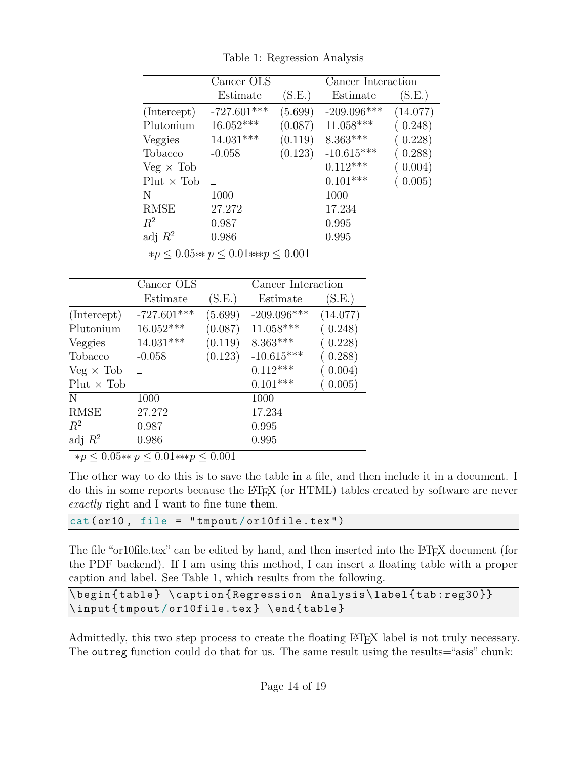<span id="page-13-0"></span>

|                   | Cancer OLS                                    |         | Cancer Interaction |          |
|-------------------|-----------------------------------------------|---------|--------------------|----------|
|                   | Estimate                                      | (S.E.)  | Estimate           | (S.E.)   |
| (Intercept)       | $-727.601***$                                 | (5.699) | $-209.096***$      | (14.077) |
| Plutonium         | 16.052***                                     | (0.087) | $11.058***$        | (0.248)  |
| Veggies           | 14.031***                                     | (0.119) | $8.363***$         | (0.228)  |
| Tobacco           | $-0.058$                                      | (0.123) | $-10.615***$       | (0.288)  |
| $Veg \times Tob$  |                                               |         | $0.112***$         | (0.004)  |
| $Plut \times Tob$ |                                               |         | $0.101***$         | (0.005)  |
| N                 | 1000                                          |         | 1000               |          |
| <b>RMSE</b>       | 27.272                                        |         | 17.234             |          |
| $R^2$             | 0.987                                         |         | 0.995              |          |
| adj $R^2$         | 0.986                                         |         | 0.995              |          |
|                   | $m < 0.05$ state $n < 0.01$ state $n < 0.001$ |         |                    |          |

Table 1: Regression Analysis

∗*p* ≤ 0*.*05∗∗ *p* ≤ 0*.*01∗∗∗*p* ≤ 0*.*001

|                   | Cancer OLS    |         | Cancer Interaction |          |
|-------------------|---------------|---------|--------------------|----------|
|                   | Estimate      | (S.E.)  | Estimate           | (S.E.)   |
| (Intercept)       | $-727.601***$ | (5.699) | $-209.096***$      | (14.077) |
| Plutonium         | $16.052***$   | (0.087) | $11.058***$        | (0.248)  |
| Veggies           | $14.031***$   | (0.119) | $8.363***$         | (0.228)  |
| Tobacco           | $-0.058$      | (0.123) | $-10.615***$       | (0.288)  |
| $Veg \times Tob$  |               |         | $0.112***$         | (0.004)  |
| $Plut \times Tob$ |               |         | $0.101***$         | (0.005)  |
| N                 | 1000          |         | 1000               |          |
| <b>RMSE</b>       | 27.272        |         | 17.234             |          |
| $R^2$             | 0.987         |         | 0.995              |          |
| adj $R^2$         | 0.986         |         | 0.995              |          |

∗*p* ≤ 0*.*05∗∗ *p* ≤ 0*.*01∗∗∗*p* ≤ 0*.*001

The other way to do this is to save the table in a file, and then include it in a document. I do this in some reports because the L<sup>A</sup>TEX (or HTML) tables created by software are never *exactly* right and I want to fine tune them.

| $\vert$ cat(or10, file = "tmpout/or10file.tex") |  |
|-------------------------------------------------|--|
|-------------------------------------------------|--|

The file "or10file.tex" can be edited by hand, and then inserted into the LATEX document (for the PDF backend). If I am using this method, I can insert a floating table with a proper caption and label. See Table [1,](#page-13-0) which results from the following.

```
\ begin { table } \ caption { Regression Analysis \ label { tab : reg30 }}
\input {tmpout/or10file.tex} \end { table }
```
Admittedly, this two step process to create the floating LATEX label is not truly necessary. The outreg function could do that for us. The same result using the results="asis" chunk: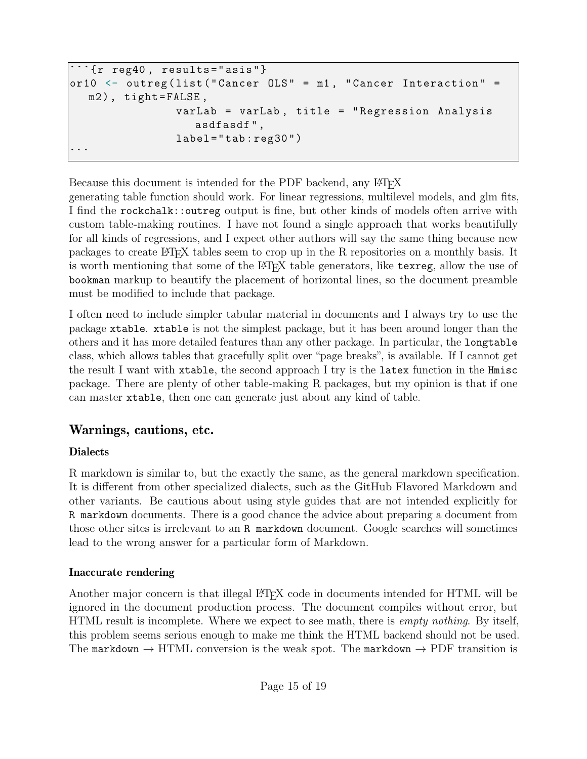```
'{r reg40, results="asis"}
or10 <- outreg (list ("Cancer OLS" = m1, "Cancer Interaction" =
  m2), tight=FALSE,
                 varLab = varLab , title = " Regression Analysis
                    asdfasdf " ,
                 label="label="label="label="1}
```
Because this document is intended for the PDF backend, any LATEX

generating table function should work. For linear regressions, multilevel models, and glm fits, I find the rockchalk::outreg output is fine, but other kinds of models often arrive with custom table-making routines. I have not found a single approach that works beautifully for all kinds of regressions, and I expect other authors will say the same thing because new packages to create L<sup>A</sup>TEX tables seem to crop up in the R repositories on a monthly basis. It is worth mentioning that some of the LATEX table generators, like texreg, allow the use of bookman markup to beautify the placement of horizontal lines, so the document preamble must be modified to include that package.

I often need to include simpler tabular material in documents and I always try to use the package xtable. xtable is not the simplest package, but it has been around longer than the others and it has more detailed features than any other package. In particular, the longtable class, which allows tables that gracefully split over "page breaks", is available. If I cannot get the result I want with xtable, the second approach I try is the latex function in the Hmisc package. There are plenty of other table-making R packages, but my opinion is that if one can master xtable, then one can generate just about any kind of table.

## Warnings, cautions, etc.

### Dialects

R markdown is similar to, but the exactly the same, as the [general markdown specification.](https://daringfireball.net/projects/markdown) It is different from other specialized dialects, such as the [GitHub Flavored Markdown](https://github.github.com/gfm) and other variants. Be cautious about using style guides that are not intended explicitly for R markdown documents. There is a good chance the advice about preparing a document from those other sites is irrelevant to an R markdown document. Google searches will sometimes lead to the wrong answer for a particular form of Markdown.

#### Inaccurate rendering

Another major concern is that illegal LATEX code in documents intended for HTML will be ignored in the document production process. The document compiles without error, but HTML result is incomplete. Where we expect to see math, there is *empty nothing*. By itself, this problem seems serious enough to make me think the HTML backend should not be used. The markdown  $\rightarrow$  HTML conversion is the weak spot. The markdown  $\rightarrow$  PDF transition is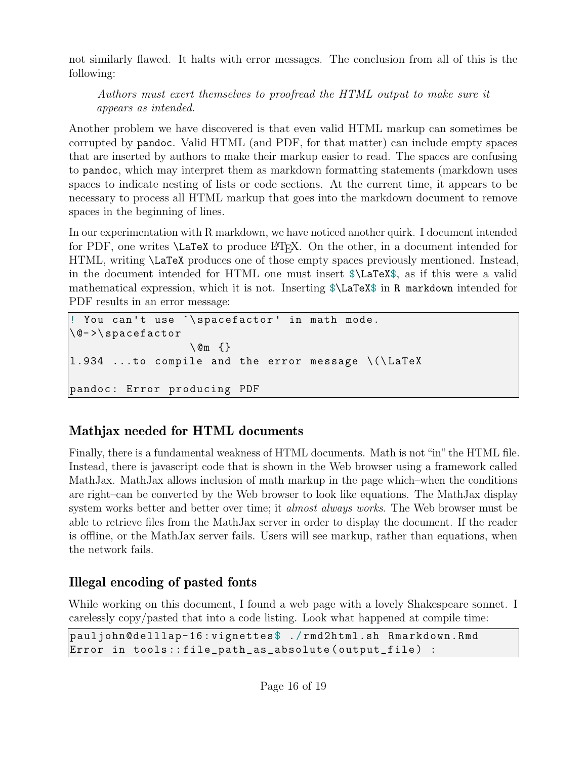not similarly flawed. It halts with error messages. The conclusion from all of this is the following:

*Authors must exert themselves to proofread the HTML output to make sure it appears as intended.*

Another problem we have discovered is that even valid HTML markup can sometimes be corrupted by pandoc. Valid HTML (and PDF, for that matter) can include empty spaces that are inserted by authors to make their markup easier to read. The spaces are confusing to pandoc, which may interpret them as markdown formatting statements (markdown uses spaces to indicate nesting of lists or code sections. At the current time, it appears to be necessary to process all HTML markup that goes into the markdown document to remove spaces in the beginning of lines.

In our experimentation with R markdown, we have noticed another quirk. I document intended for PDF, one writes  $\text{LareX}$  to produce L<sup>T</sup>FX. On the other, in a document intended for HTML, writing \LaTeX produces one of those empty spaces previously mentioned. Instead, in the document intended for HTML one must insert \$\LaTeX\$, as if this were a valid mathematical expression, which it is not. Inserting \$\LaTeX\$ in R markdown intended for PDF results in an error message:

```
! You can't use `\spacefactor' in math mode.
\ @- >\ spacefactor
                    \ @m {}
1.934 ...to compile and the error message \setminus (\text{Larea})pandoc : Error producing PDF
```
## Mathjax needed for HTML documents

Finally, there is a fundamental weakness of HTML documents. Math is not "in" the HTML file. Instead, there is javascript code that is shown in the Web browser using a framework called MathJax. MathJax allows inclusion of math markup in the page which–when the conditions are right–can be converted by the Web browser to look like equations. The MathJax display system works better and better over time; it *almost always works*. The Web browser must be able to retrieve files from the MathJax server in order to display the document. If the reader is offline, or the MathJax server fails. Users will see markup, rather than equations, when the network fails.

## Illegal encoding of pasted fonts

While working on this document, I found a web page with a lovely Shakespeare sonnet. I carelessly copy/pasted that into a code listing. Look what happened at compile time:

```
pauljohn@delllap-16 : vignettes $ ./ rmd2html.sh Rmarkdown.Rmd
Error in tools :: file_path_as_absolute ( output_file ) :
```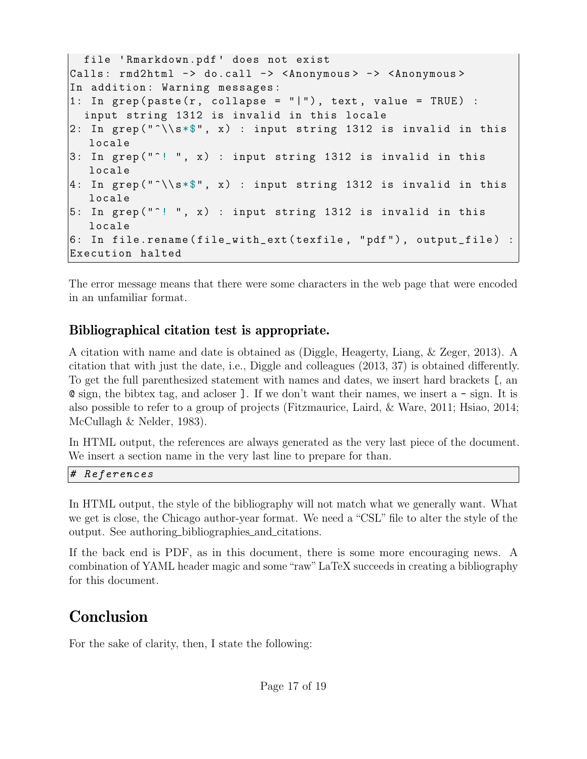```
file 'Rmarkdown.pdf' does not exist
Calls: rmd2html -> do.call -> <Anonymous> -> <Anonymous>
In addition: Warning messages:
1: In \text{grep}(\text{paste}(r, \text{ collapse = "||"), text, value = TRUE}):
  input string 1312 is invalid in this locale
2: In grep ("^*\\s \ast", x) : input string 1312 is invalid in this
   locale
3: In grep ("<sup>o</sup>! ", x) : input string 1312 is invalid in this
   locale
4: In grep ("^*\\s \ast", x) : input string 1312 is invalid in this
   locale
5: In grep (" \n' ! \n'', x) : input string 1312 is invalid in this
   locale
6: In file.rename(file_with_ext(texfile, "pdf"), output_file) :
Execution halted
```
The error message means that there were some characters in the web page that were encoded in an unfamiliar format.

### Bibliographical citation test is appropriate.

A citation with name and date is obtained as [\(Diggle, Heagerty, Liang, & Zeger, 2013\)](#page-18-1). A citation that with just the date, i.e., Diggle and colleagues [\(2013,](#page-18-1) 37) is obtained differently. To get the full parenthesized statement with names and dates, we insert hard brackets [, an @ sign, the bibtex tag, and acloser ]. If we don't want their names, we insert a - sign. It is also possible to refer to a group of projects [\(Fitzmaurice, Laird, & Ware, 2011;](#page-18-2) [Hsiao, 2014;](#page-18-3) [McCullagh & Nelder, 1983\)](#page-18-4).

In HTML output, the references are always generated as the very last piece of the document. We insert a section name in the very last line to prepare for than.

```
# References
```
In HTML output, the style of the bibliography will not match what we generally want. What we get is close, the Chicago author-year format. We need a "CSL" file to alter the style of the output. See authoring [bibliographies](http://rmarkdown.rstudio.com/authoring_bibliographies_and_citations.html) and citations.

If the back end is PDF, as in this document, there is some more encouraging news. A combination of YAML header magic and some"raw" LaTeX succeeds in creating a bibliography for this document.

# **Conclusion**

For the sake of clarity, then, I state the following: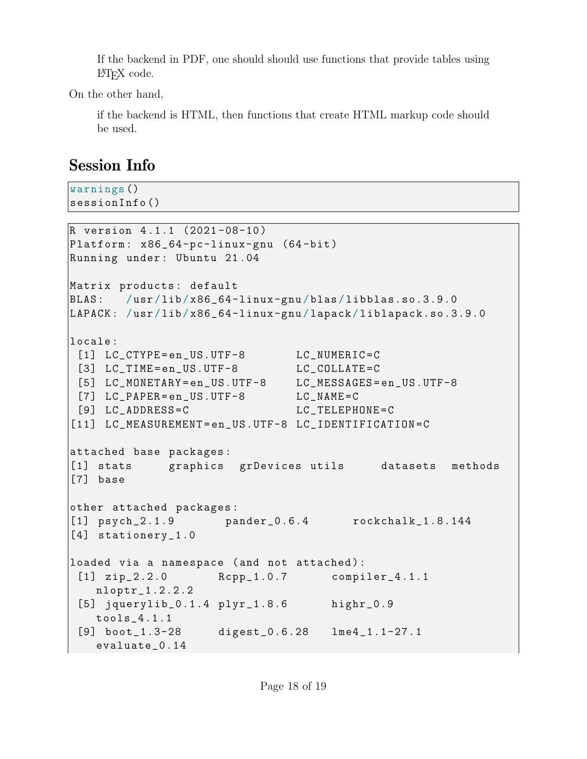If the backend in PDF, one should should use functions that provide tables using LAT<sub>EX</sub> code.

On the other hand,

if the backend is HTML, then functions that create HTML markup code should be used.

# Session Info

warnings () sessionInfo ()

```
R version 4 .1.1 (2021 -08-10 )
Platform: x86_64-pc-linux-gnu (64-bit)
Running under : Ubuntu 21 .04
Matrix products: default
BLAS: /usr/lib/x86_64-linux-gnu/blas/libblas.so.3.9.0
LAPACK: /usr/lib/x86_64-linux-gnu/lapack/liblapack.so.3.9.0
locale :
 [1] LC_CTYPE=en_US.UTF-8 LC_NUMERIC=C
 [3] LC_TIME=en_US.UTF-8 LC_COLLATE=C
 [5] LC_MONETARY = en_US.UTF-8 LC_MESSAGES = en_US.UTF-8
 [7] LC_PAPER=en_US.UTF-8 LC_NAME=C
 [9] LC_ADDRESS=C LC_TELEPHONE=C
[11] LC_MEASUREMENT=en_US.UTF-8 LC_IDENTIFICATION=C
attached base packages :
[1] stats graphics grDevices utils datasets methods
[7] base
other attached packages :
[1] psych_2.1.9 pander_0.6.4 rockchalk_1.8.144
[4] stationery_1.0
loaded via a namespace (and not attached):
 [1] zip_2.2.0 Rcpp_1.0.7 compiler_4.1.1
   nloptr_1.2.2.2
 [5] jquerylib_0.1.4 plyr_1.8.6 highr_0.9
   tools_4.1.1
 [9] boot_1.3-28 digest_0.6.28 lme4_1.1-27.1
   evaluate_0.14
```